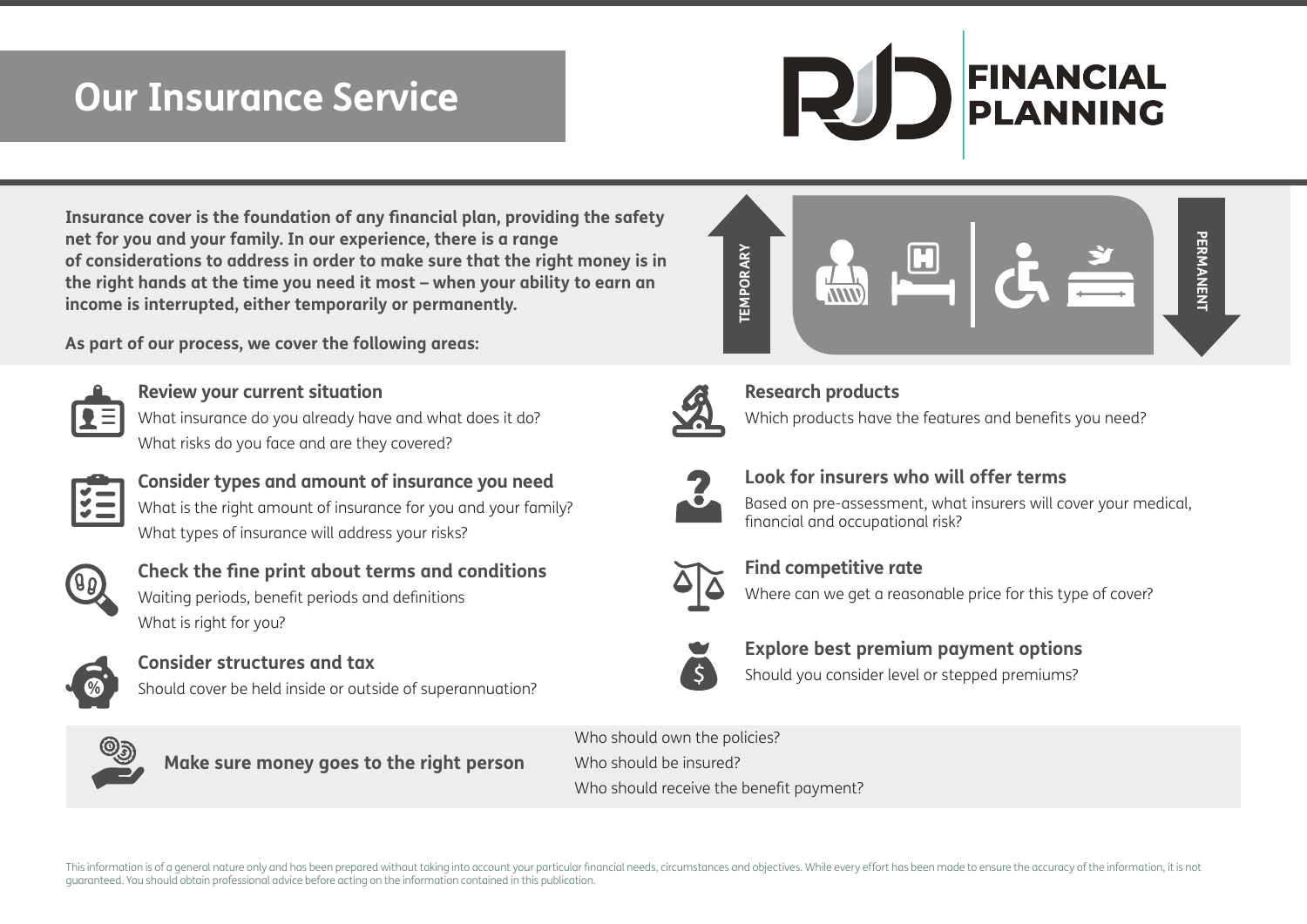# **Our Insurance Service**



**Insurance cover is the foundation of any financial plan, providing the safety net for you and your family. In our experience, there is a range of considerations to address in order to make sure that the right money is in the right hands at the time you need it most – when your ability to earn an income is interrupted, either temporarily or permanently.**

**As part of our process, we cover the following areas:**



**Review your current situation**

What insurance do you already have and what does it do? What risks do you face and are they covered?



**Consider types and amount of insurance you need** What is the right amount of insurance for you and your family? What types of insurance will address your risks?



**Check the fine print about terms and conditions** Waiting periods, benefit periods and definitions What is right for you?



**Consider structures and tax** Should cover be held inside or outside of superannuation?



**Make sure money goes to the right person**

Who should own the policies? Who should be insured? Who should receive the benefit payment?





**Research products**

Which products have the features and benefits you need?



### **Look for insurers who will offer terms**

Based on pre-assessment, what insurers will cover your medical, financial and occupational risk?



#### **Find competitive rate**

Where can we get a reasonable price for this type of cover?



## **Explore best premium payment options**

Should you consider level or stepped premiums?

This information is of a general nature only and has been prepared without taking into account your particular financial needs, circumstances and objectives. While every effort has been made to ensure the accuracy of the i guaranteed. You should obtain professional advice before acting on the information contained in this publication.